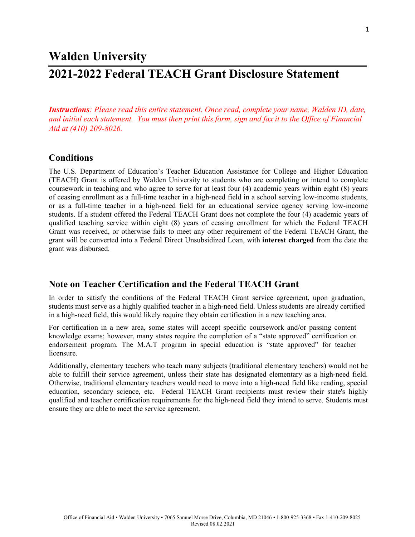## **Walden University**

# **2021-2022 Federal TEACH Grant Disclosure Statement**

*Instructions: Please read this entire statement. Once read, complete your name, Walden ID, date, and initial each statement. You must then print this form, sign and fax it to the Office of Financial Aid at (410) 209-8026.*

#### **Conditions**

The U.S. Department of Education's Teacher Education Assistance for College and Higher Education (TEACH) Grant is offered by Walden University to students who are completing or intend to complete coursework in teaching and who agree to serve for at least four (4) academic years within eight (8) years of ceasing enrollment as a full-time teacher in a high-need field in a school serving low-income students, or as a full-time teacher in a high-need field for an educational service agency serving low-income students. If a student offered the Federal TEACH Grant does not complete the four (4) academic years of qualified teaching service within eight (8) years of ceasing enrollment for which the Federal TEACH Grant was received, or otherwise fails to meet any other requirement of the Federal TEACH Grant, the grant will be converted into a Federal Direct Unsubsidized Loan, with **interest charged** from the date the grant was disbursed.

#### **Note on Teacher Certification and the Federal TEACH Grant**

In order to satisfy the conditions of the Federal TEACH Grant service agreement, upon graduation, students must serve as a highly qualified teacher in a high-need field. Unless students are already certified in a high-need field, this would likely require they obtain certification in a new teaching area.

For certification in a new area, some states will accept specific coursework and/or passing content knowledge exams; however, many states require the completion of a "state approved" certification or endorsement program. The M.A.T program in special education is "state approved" for teacher licensure.

Additionally, elementary teachers who teach many subjects (traditional elementary teachers) would not be able to fulfill their service agreement, unless their state has designated elementary as a high-need field. Otherwise, traditional elementary teachers would need to move into a high-need field like reading, special education, secondary science, etc. Federal TEACH Grant recipients must review their state's highly qualified and teacher certification requirements for the high-need field they intend to serve. Students must ensure they are able to meet the service agreement.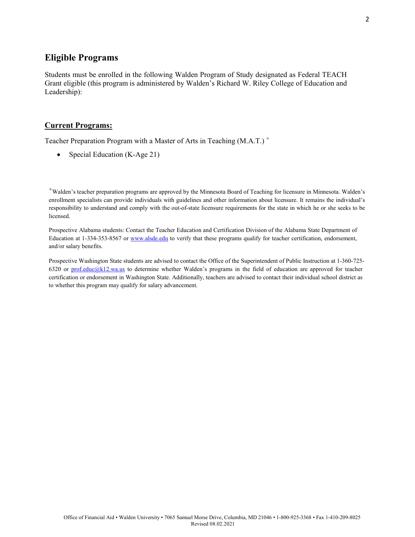### **Eligible Programs**

Students must be enrolled in the following Walden Program of Study designated as Federal TEACH Grant eligible (this program is administered by Walden's Richard W. Riley College of Education and Leadership):

#### **Current Programs:**

Teacher Preparation Program with a Master of Arts in Teaching (M.A.T.)<sup>+</sup>

• Special Education (K-Age 21)

+Walden's teacher preparation programs are approved by the Minnesota Board of Teaching for licensure in Minnesota. Walden's enrollment specialists can provide individuals with guidelines and other information about licensure. It remains the individual's responsibility to understand and comply with the out-of-state licensure requirements for the state in which he or she seeks to be licensed.

Prospective Alabama students: Contact the Teacher Education and Certification Division of the Alabama State Department of Education at 1-334-353-8567 or [www.alsde.edu](http://www.alsde.edu/) to verify that these programs qualify for teacher certification, endorsement, and/or salary benefits.

Prospective Washington State students are advised to contact the Office of the Superintendent of Public Instruction at 1-360-725 6320 or [prof.educ@k12.wa.us](mailto:prof.educ@k12.wa.us) to determine whether Walden's programs in the field of education are approved for teacher certification or endorsement in Washington State. Additionally, teachers are advised to contact their individual school district as to whether this program may qualify for salary advancement.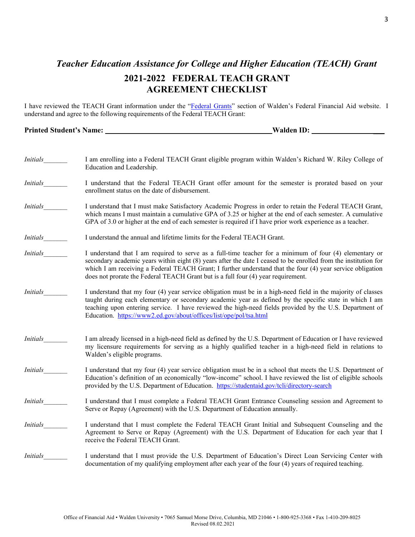## *Teacher Education Assistance for College and Higher Education (TEACH) Grant* **2021-2022 FEDERAL TEACH GRANT AGREEMENT CHECKLIST**

I have reviewed the TEACH Grant information under the ["Federal Grants"](https://www.waldenu.edu/financial-aid/federal-financial-aid#grants) section of Walden's Federal Financial Aid website. I understand and agree to the following requirements of the Federal TEACH Grant:

### **Printed Student's Name: Walden ID: \_\_\_**

| <i>Initials</i> | I am enrolling into a Federal TEACH Grant eligible program within Walden's Richard W. Riley College of<br>Education and Leadership.                                                                                                                                                                                                                                                                                           |
|-----------------|-------------------------------------------------------------------------------------------------------------------------------------------------------------------------------------------------------------------------------------------------------------------------------------------------------------------------------------------------------------------------------------------------------------------------------|
| <i>Initials</i> | I understand that the Federal TEACH Grant offer amount for the semester is prorated based on your<br>enrollment status on the date of disbursement.                                                                                                                                                                                                                                                                           |
| <i>Initials</i> | I understand that I must make Satisfactory Academic Progress in order to retain the Federal TEACH Grant,<br>which means I must maintain a cumulative GPA of 3.25 or higher at the end of each semester. A cumulative<br>GPA of 3.0 or higher at the end of each semester is required if I have prior work experience as a teacher.                                                                                            |
| <i>Initials</i> | I understand the annual and lifetime limits for the Federal TEACH Grant.                                                                                                                                                                                                                                                                                                                                                      |
| <i>Initials</i> | I understand that I am required to serve as a full-time teacher for a minimum of four (4) elementary or<br>secondary academic years within eight (8) years after the date I ceased to be enrolled from the institution for<br>which I am receiving a Federal TEACH Grant; I further understand that the four (4) year service obligation<br>does not prorate the Federal TEACH Grant but is a full four (4) year requirement. |
| <i>Initials</i> | I understand that my four (4) year service obligation must be in a high-need field in the majority of classes<br>taught during each elementary or secondary academic year as defined by the specific state in which I am<br>teaching upon entering service. I have reviewed the high-need fields provided by the U.S. Department of<br>Education. https://www2.ed.gov/about/offices/list/ope/pol/tsa.html                     |
| <i>Initials</i> | I am already licensed in a high-need field as defined by the U.S. Department of Education or I have reviewed<br>my licensure requirements for serving as a highly qualified teacher in a high-need field in relations to<br>Walden's eligible programs.                                                                                                                                                                       |
| <i>Initials</i> | I understand that my four (4) year service obligation must be in a school that meets the U.S. Department of<br>Education's definition of an economically "low-income" school. I have reviewed the list of eligible schools<br>provided by the U.S. Department of Education. https://studentaid.gov/tcli/directory-search                                                                                                      |
| <i>Initials</i> | I understand that I must complete a Federal TEACH Grant Entrance Counseling session and Agreement to<br>Serve or Repay (Agreement) with the U.S. Department of Education annually.                                                                                                                                                                                                                                            |
| <i>Initials</i> | I understand that I must complete the Federal TEACH Grant Initial and Subsequent Counseling and the<br>Agreement to Serve or Repay (Agreement) with the U.S. Department of Education for each year that I<br>receive the Federal TEACH Grant.                                                                                                                                                                                 |
| <i>Initials</i> | I understand that I must provide the U.S. Department of Education's Direct Loan Servicing Center with<br>documentation of my qualifying employment after each year of the four (4) years of required teaching.                                                                                                                                                                                                                |